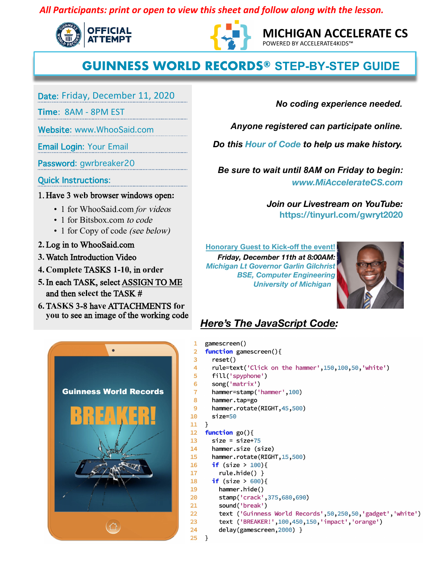## *All Participants: print or open to view this sheet and follow along with the lesson.*





**MICHIGAN ACCELERATE CS**  POWERED BY ACCELERATE4KIDS™

## **GUINNESS WORLD RECORDS® STEP-BY-STEP GUIDE**

Date: Friday, December 11, 2020

**Time: 8AM - 8PM EST** 

Website: www.WhooSaid.com

**Email Login: Your Email** 

Password: gwrbreaker20

**Quick Instructions:** 

1. Have 3 web browser windows open:

- 1 for WhooSaid.com *for* video*s*
- 1 for Bitsbox.com to code
- 1 for Copy of code *(see below)*
- **2.** Log in to WhooSaid.com
- **3.** Watch Introduction Video
- **4. Complete** TASKS **1-10,** in **order**
- **5.**In each TASK, select ASSIGN TO ME and then **select** the TASK #
- **6.** T**ASKS** 3-8 ha**ve** ATTACHMENTS **for you** to see an image of the working code



*No coding experience needed.* 

*Anyone registered can participate online.* 

*Do this Hour of Code to help us make history.*

*Be sure to wait until 8AM on Friday to begin: www.MiAccelerateCS.com* 

> *Join our Livestream on YouTube:* **https://tinyurl.com/gwryt2020**

**Honorary Guest to Kick-off the event!** *Friday, December 11th at 8:00AM: Michigan Lt Governor Garlin Gilchrist BSE, Computer Engineering University of Michigan*



## *Here's The JavaScript Code:*

```
gamescreen()
 \mathbf{1}function gamescreen(){
 \overline{2}3
      reset()rule=text('Click on the hammer', 150, 100, 50, 'white')
 4
       fill('spyphone')
 5
 6
       song('matrix')
 \overline{7}hammer=stamp('hammer',100)
 8
       hammer.tap=go
 \overline{9}hammer.rotate(RIGHT, 45, 500)
10
      size=5011 }
12 function go(){
       size = size+7513
       hammer.size (size)
14
15
       hammer.rotate(RIGHT, 15,500)
16
       if (size > 100){
17
         rule.hide() }
18
       if (size > 600){
19
         hammer.hide()
         stamp('crack', 375, 680, 690)
20
21
         sound('break')
22
         text ('Guinness World Records', 50, 250, 50, 'gadget', 'white')
         text ('BREAKER!', 100, 450, 150, 'impact', 'orange')
23
         delay(gamescreen, 2000) }
24
25
   \}
```